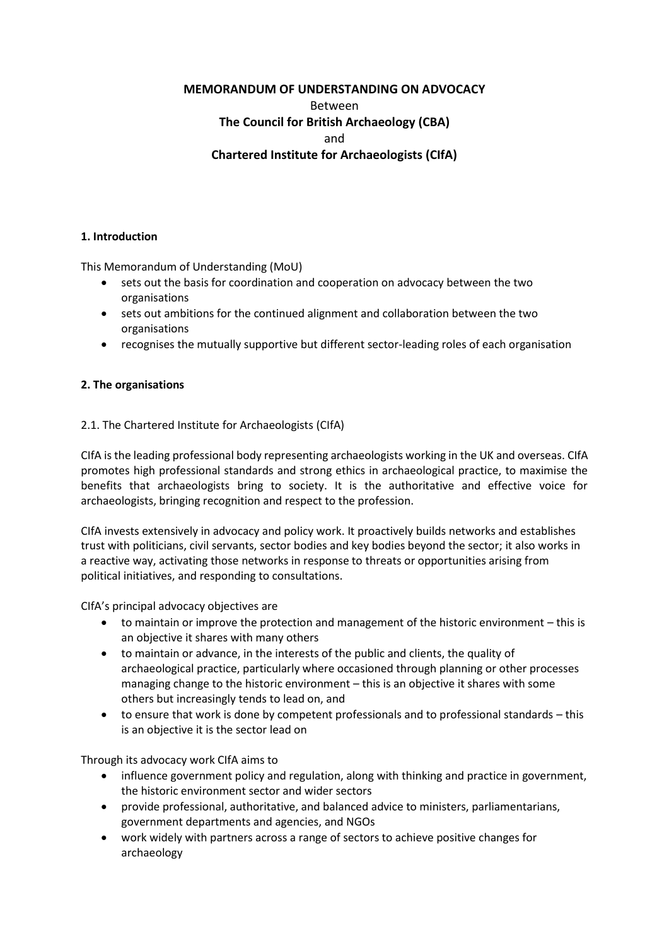**MEMORANDUM OF UNDERSTANDING ON ADVOCACY** Between **The Council for British Archaeology (CBA)** and **Chartered Institute for Archaeologists (CIfA)**

## **1. Introduction**

This Memorandum of Understanding (MoU)

- sets out the basis for coordination and cooperation on advocacy between the two organisations
- sets out ambitions for the continued alignment and collaboration between the two organisations
- recognises the mutually supportive but different sector-leading roles of each organisation

# **2. The organisations**

# 2.1. The Chartered Institute for Archaeologists (CIfA)

CIfA is the leading professional body representing archaeologists working in the UK and overseas. CIfA promotes high professional standards and strong ethics in archaeological practice, to maximise the benefits that archaeologists bring to society. It is the authoritative and effective voice for archaeologists, bringing recognition and respect to the profession.

CIfA invests extensively in advocacy and policy work. It proactively builds networks and establishes trust with politicians, civil servants, sector bodies and key bodies beyond the sector; it also works in a reactive way, activating those networks in response to threats or opportunities arising from political initiatives, and responding to consultations.

CIfA's principal advocacy objectives are

- to maintain or improve the protection and management of the historic environment this is an objective it shares with many others
- to maintain or advance, in the interests of the public and clients, the quality of archaeological practice, particularly where occasioned through planning or other processes managing change to the historic environment – this is an objective it shares with some others but increasingly tends to lead on, and
- to ensure that work is done by competent professionals and to professional standards this is an objective it is the sector lead on

Through its advocacy work CIfA aims to

- influence government policy and regulation, along with thinking and practice in government, the historic environment sector and wider sectors
- provide professional, authoritative, and balanced advice to ministers, parliamentarians, government departments and agencies, and NGOs
- work widely with partners across a range of sectors to achieve positive changes for archaeology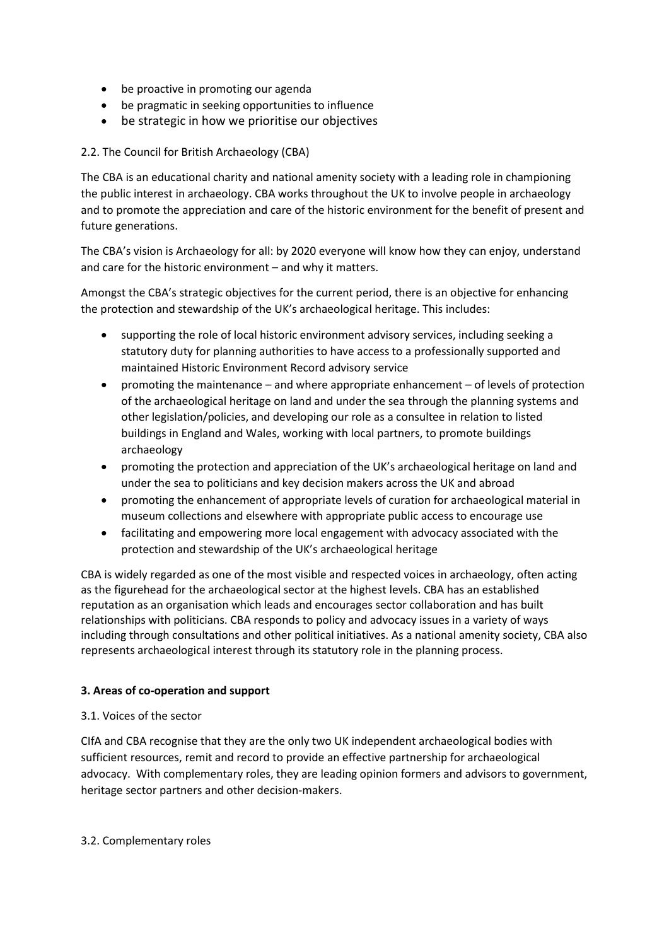- be proactive in promoting our agenda
- be pragmatic in seeking opportunities to influence
- be strategic in how we prioritise our objectives

## 2.2. The Council for British Archaeology (CBA)

The CBA is an educational charity and national amenity society with a leading role in championing the public interest in archaeology. CBA works throughout the UK to involve people in archaeology and to promote the appreciation and care of the historic environment for the benefit of present and future generations.

The CBA's vision is Archaeology for all: by 2020 everyone will know how they can enjoy, understand and care for the historic environment – and why it matters.

Amongst the CBA's strategic objectives for the current period, there is an objective for enhancing the protection and stewardship of the UK's archaeological heritage. This includes:

- supporting the role of local historic environment advisory services, including seeking a statutory duty for planning authorities to have access to a professionally supported and maintained Historic Environment Record advisory service
- promoting the maintenance and where appropriate enhancement of levels of protection of the archaeological heritage on land and under the sea through the planning systems and other legislation/policies, and developing our role as a consultee in relation to listed buildings in England and Wales, working with local partners, to promote buildings archaeology
- promoting the protection and appreciation of the UK's archaeological heritage on land and under the sea to politicians and key decision makers across the UK and abroad
- promoting the enhancement of appropriate levels of curation for archaeological material in museum collections and elsewhere with appropriate public access to encourage use
- facilitating and empowering more local engagement with advocacy associated with the protection and stewardship of the UK's archaeological heritage

CBA is widely regarded as one of the most visible and respected voices in archaeology, often acting as the figurehead for the archaeological sector at the highest levels. CBA has an established reputation as an organisation which leads and encourages sector collaboration and has built relationships with politicians. CBA responds to policy and advocacy issues in a variety of ways including through consultations and other political initiatives. As a national amenity society, CBA also represents archaeological interest through its statutory role in the planning process.

## **3. Areas of co-operation and support**

## 3.1. Voices of the sector

CIfA and CBA recognise that they are the only two UK independent archaeological bodies with sufficient resources, remit and record to provide an effective partnership for archaeological advocacy. With complementary roles, they are leading opinion formers and advisors to government, heritage sector partners and other decision-makers.

### 3.2. Complementary roles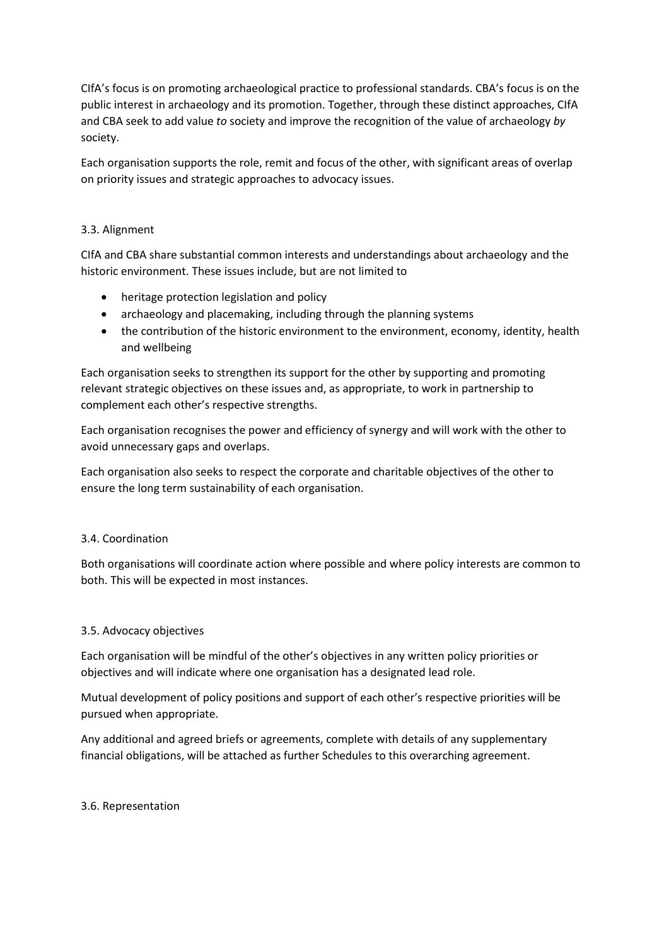CIfA's focus is on promoting archaeological practice to professional standards. CBA's focus is on the public interest in archaeology and its promotion. Together, through these distinct approaches, CIfA and CBA seek to add value *to* society and improve the recognition of the value of archaeology *by* society.

Each organisation supports the role, remit and focus of the other, with significant areas of overlap on priority issues and strategic approaches to advocacy issues.

## 3.3. Alignment

CIfA and CBA share substantial common interests and understandings about archaeology and the historic environment. These issues include, but are not limited to

- heritage protection legislation and policy
- archaeology and placemaking, including through the planning systems
- the contribution of the historic environment to the environment, economy, identity, health and wellbeing

Each organisation seeks to strengthen its support for the other by supporting and promoting relevant strategic objectives on these issues and, as appropriate, to work in partnership to complement each other's respective strengths.

Each organisation recognises the power and efficiency of synergy and will work with the other to avoid unnecessary gaps and overlaps.

Each organisation also seeks to respect the corporate and charitable objectives of the other to ensure the long term sustainability of each organisation.

### 3.4. Coordination

Both organisations will coordinate action where possible and where policy interests are common to both. This will be expected in most instances.

### 3.5. Advocacy objectives

Each organisation will be mindful of the other's objectives in any written policy priorities or objectives and will indicate where one organisation has a designated lead role.

Mutual development of policy positions and support of each other's respective priorities will be pursued when appropriate.

Any additional and agreed briefs or agreements, complete with details of any supplementary financial obligations, will be attached as further Schedules to this overarching agreement.

### 3.6. Representation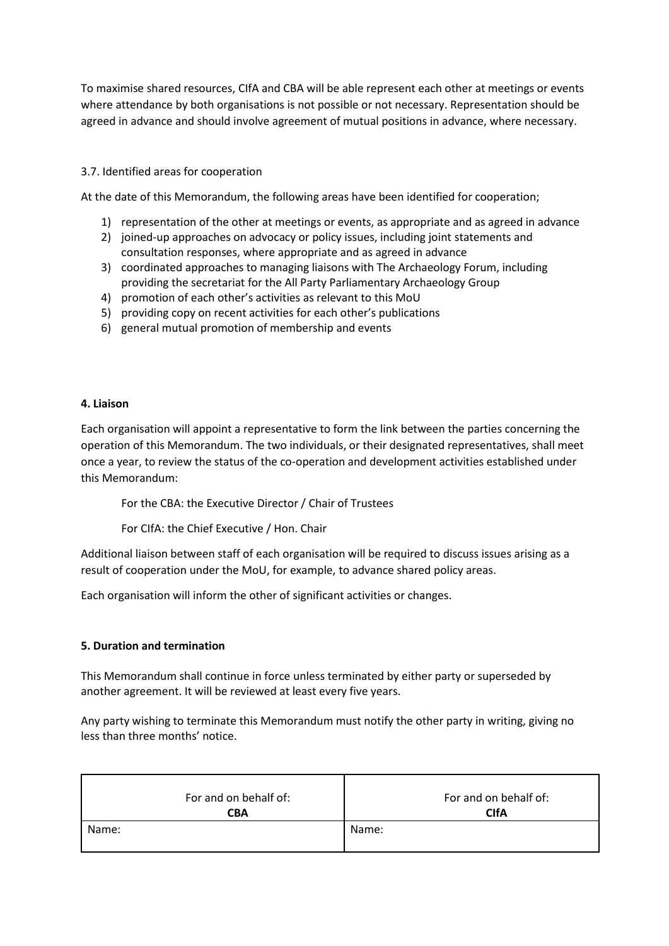To maximise shared resources, CIfA and CBA will be able represent each other at meetings or events where attendance by both organisations is not possible or not necessary. Representation should be agreed in advance and should involve agreement of mutual positions in advance, where necessary.

## 3.7. Identified areas for cooperation

At the date of this Memorandum, the following areas have been identified for cooperation;

- 1) representation of the other at meetings or events, as appropriate and as agreed in advance
- 2) joined-up approaches on advocacy or policy issues, including joint statements and consultation responses, where appropriate and as agreed in advance
- 3) coordinated approaches to managing liaisons with The Archaeology Forum, including providing the secretariat for the All Party Parliamentary Archaeology Group
- 4) promotion of each other's activities as relevant to this MoU
- 5) providing copy on recent activities for each other's publications
- 6) general mutual promotion of membership and events

### **4. Liaison**

Each organisation will appoint a representative to form the link between the parties concerning the operation of this Memorandum. The two individuals, or their designated representatives, shall meet once a year, to review the status of the co-operation and development activities established under this Memorandum:

For the CBA: the Executive Director / Chair of Trustees

For CIfA: the Chief Executive / Hon. Chair

Additional liaison between staff of each organisation will be required to discuss issues arising as a result of cooperation under the MoU, for example, to advance shared policy areas.

Each organisation will inform the other of significant activities or changes.

### **5. Duration and termination**

This Memorandum shall continue in force unless terminated by either party or superseded by another agreement. It will be reviewed at least every five years.

Any party wishing to terminate this Memorandum must notify the other party in writing, giving no less than three months' notice.

| For and on behalf of: | For and on behalf of: |
|-----------------------|-----------------------|
| <b>CBA</b>            | CIfA                  |
| Name:                 | Name:                 |